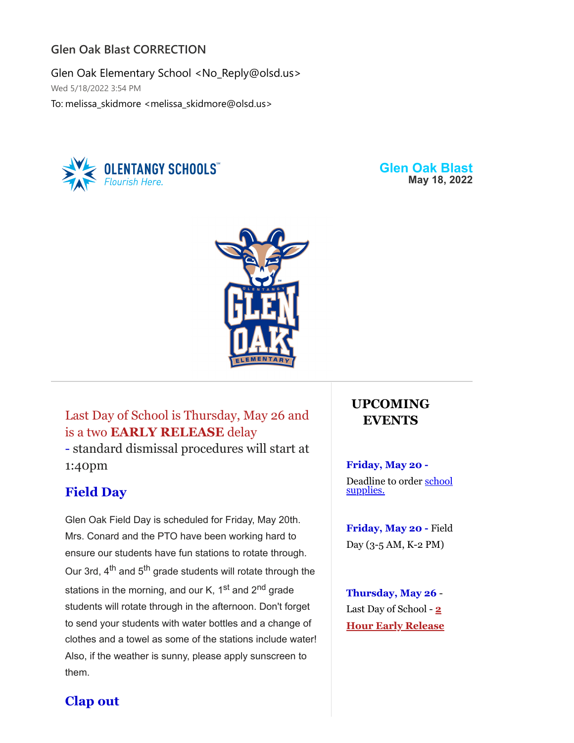## **Glen Oak Blast CORRECTION**

Glen Oak Elementary School <No\_Reply@olsd.us> Wed 5/18/2022 3:54 PM To: melissa\_skidmore <melissa\_skidmore@olsd.us>



**Glen Oak Blast May 18, 2022**



Last Day of School is Thursday, May 26 and is a two **EARLY RELEASE** delay - standard dismissal procedures will start at 1:40pm

## **Field Day**

Glen Oak Field Day is scheduled for Friday, May 20th. Mrs. Conard and the PTO have been working hard to ensure our students have fun stations to rotate through. Our 3rd, 4<sup>th</sup> and 5<sup>th</sup> grade students will rotate through the stations in the morning, and our K, 1<sup>st</sup> and 2<sup>nd</sup> grade students will rotate through in the afternoon. Don't forget to send your students with water bottles and a change of clothes and a towel as some of the stations include water! Also, if the weather is sunny, please apply sunscreen to them.

# **UPCOMING EVENTS**

#### **Friday, May 20 -**

[Deadline to order school](https://goes.olentangy.k12.oh.us/default-board-post-page-glen-oak/~board/glen-oak-elementary-news/post/school-supply-kits) supplies.

**Friday, May 20 -** Field Day (3-5 AM, K-2 PM)

**Thursday, May 26** - Last Day of School - **2 Hour Early Release**

## **Clap out**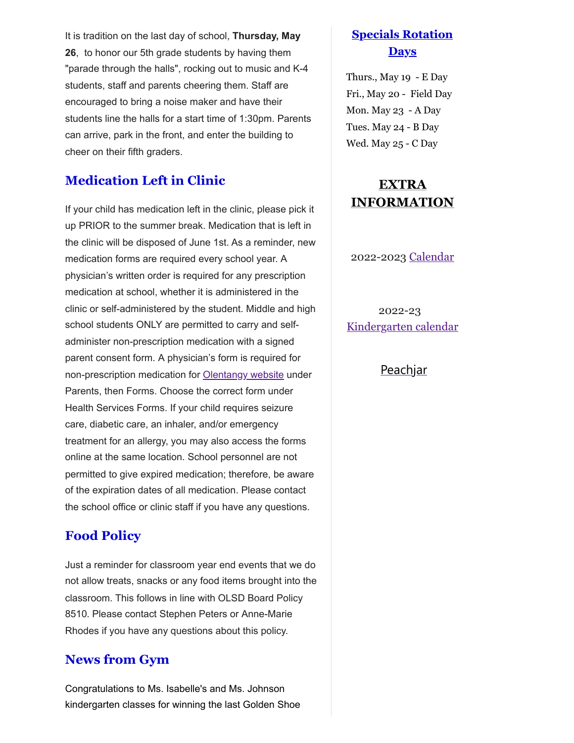It is tradition on the last day of school, **Thursday, May 26**, to honor our 5th grade students by having them "parade through the halls", rocking out to music and K-4 students, staff and parents cheering them. Staff are encouraged to bring a noise maker and have their students line the halls for a start time of 1:30pm. Parents can arrive, park in the front, and enter the building to cheer on their fifth graders.

### **Medication Left in Clinic**

If your child has medication left in the clinic, please pick it up PRIOR to the summer break. Medication that is left in the clinic will be disposed of June 1st. As a reminder, new medication forms are required every school year. A physician's written order is required for any prescription medication at school, whether it is administered in the clinic or self-administered by the student. Middle and high school students ONLY are permitted to carry and selfadminister non-prescription medication with a signed parent consent form. A physician's form is required for non-prescription medication for [Olentangy](https://www.olentangy.k12.oh.us/parents-resources/forms-district-and-athletic) website under Parents, then Forms. Choose the correct form under Health Services Forms. If your child requires seizure care, diabetic care, an inhaler, and/or emergency treatment for an allergy, you may also access the forms online at the same location. School personnel are not permitted to give expired medication; therefore, be aware of the expiration dates of all medication. Please contact the school office or clinic staff if you have any questions.

#### **Food Policy**

Just a reminder for classroom year end events that we do not allow treats, snacks or any food items brought into the classroom. This follows in line with OLSD Board Policy 8510. Please contact Stephen Peters or Anne-Marie Rhodes if you have any questions about this policy.

#### **News from Gym**

Congratulations to Ms. Isabelle's and Ms. Johnson kindergarten classes for winning the last Golden Shoe

## **Specials Rotation Days**

Thurs., May 19 - E Day Fri., May 20 - Field Day Mon. May 23 - A Day Tues. May 24 - B Day Wed. May 25 - C Day

# **EXTRA INFORMATION**

2022-2023 [Calendar](https://resources.finalsite.net/images/v1620050549/olentangyk12ohus/qd6qvmokm7y6lk1e4riu/2022-2023OLSDistrictCalendar.pdf)

2022-23 [Kindergarten calendar](https://resources.finalsite.net/images/v1632325291/olentangyk12ohus/n6xjhrdi0kf7x5th3p9g/2022-2023OLSKindergartenCalendar.pdf)

#### [Peachjar](https://goes.olentangy.k12.oh.us/parents/eflyers-and-peachjar)